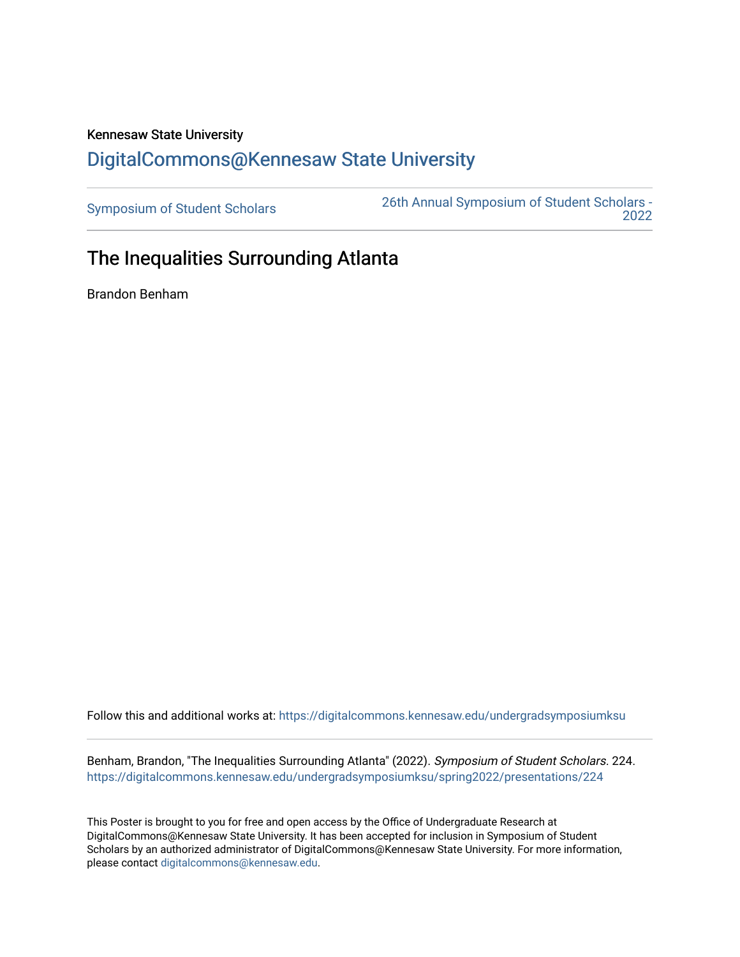## Kennesaw State University [DigitalCommons@Kennesaw State University](https://digitalcommons.kennesaw.edu/)

[Symposium of Student Scholars](https://digitalcommons.kennesaw.edu/undergradsymposiumksu) [26th Annual Symposium of Student Scholars -](https://digitalcommons.kennesaw.edu/undergradsymposiumksu/spring2022)  [2022](https://digitalcommons.kennesaw.edu/undergradsymposiumksu/spring2022) 

## The Inequalities Surrounding Atlanta

Brandon Benham

Follow this and additional works at: [https://digitalcommons.kennesaw.edu/undergradsymposiumksu](https://digitalcommons.kennesaw.edu/undergradsymposiumksu?utm_source=digitalcommons.kennesaw.edu%2Fundergradsymposiumksu%2Fspring2022%2Fpresentations%2F224&utm_medium=PDF&utm_campaign=PDFCoverPages) 

Benham, Brandon, "The Inequalities Surrounding Atlanta" (2022). Symposium of Student Scholars. 224. [https://digitalcommons.kennesaw.edu/undergradsymposiumksu/spring2022/presentations/224](https://digitalcommons.kennesaw.edu/undergradsymposiumksu/spring2022/presentations/224?utm_source=digitalcommons.kennesaw.edu%2Fundergradsymposiumksu%2Fspring2022%2Fpresentations%2F224&utm_medium=PDF&utm_campaign=PDFCoverPages)

This Poster is brought to you for free and open access by the Office of Undergraduate Research at DigitalCommons@Kennesaw State University. It has been accepted for inclusion in Symposium of Student Scholars by an authorized administrator of DigitalCommons@Kennesaw State University. For more information, please contact [digitalcommons@kennesaw.edu.](mailto:digitalcommons@kennesaw.edu)